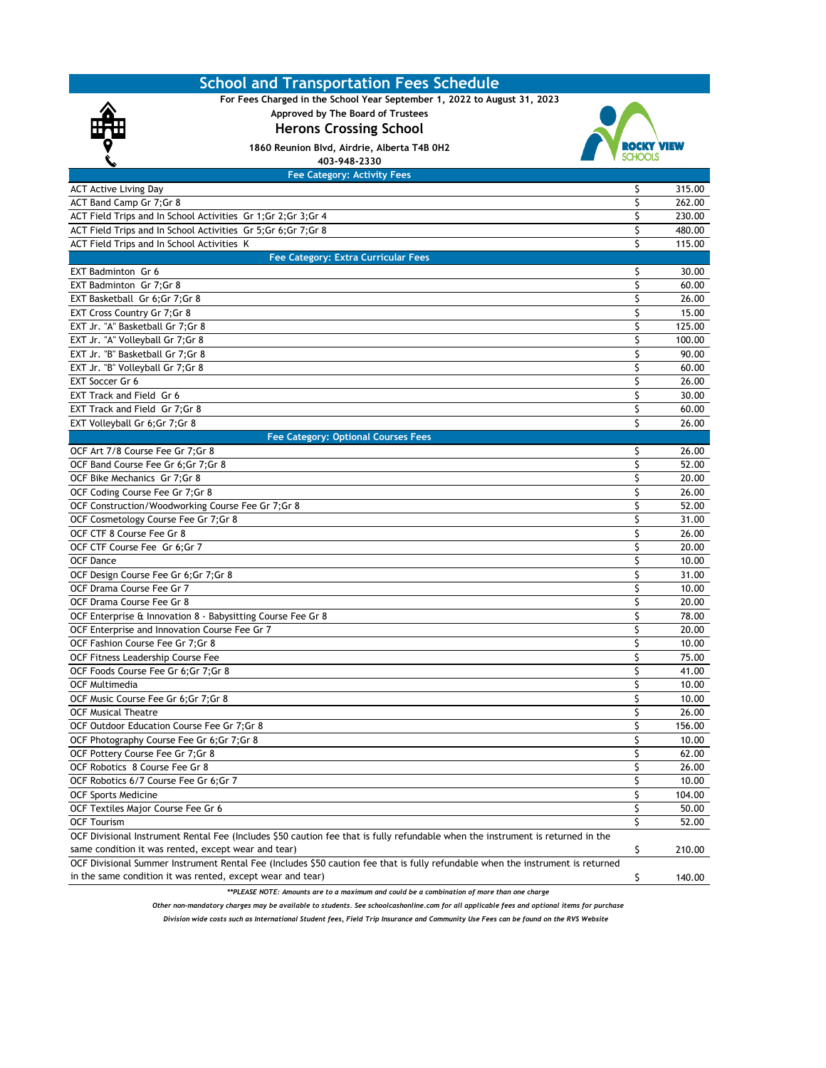| For Fees Charged in the School Year September 1, 2022 to August 31, 2023<br>Approved by The Board of Trustees<br><b>Herons Crossing School</b><br>1860 Reunion Blvd, Airdrie, Alberta T4B 0H2<br>403-948-2330<br><b>Fee Category: Activity Fees</b><br><b>ACT Active Living Day</b><br>315.00<br>Ş<br>\$<br>ACT Band Camp Gr 7;Gr 8<br>262.00<br>ACT Field Trips and In School Activities Gr 1;Gr 2;Gr 3;Gr 4<br>\$<br>230.00<br>Ś<br>ACT Field Trips and In School Activities Gr 5; Gr 6; Gr 7; Gr 8<br>480.00<br>\$<br>ACT Field Trips and In School Activities K<br>115.00<br><b>Fee Category: Extra Curricular Fees</b><br>\$<br>30.00<br>EXT Badminton Gr 6<br>\$<br>EXT Badminton Gr 7;Gr 8<br>60.00<br>EXT Basketball Gr 6;Gr 7;Gr 8<br>\$<br>26.00<br>\$<br>EXT Cross Country Gr 7; Gr 8<br>15.00<br>\$<br>EXT Jr. "A" Basketball Gr 7;Gr 8<br>125.00<br>\$<br>EXT Jr. "A" Volleyball Gr 7; Gr 8<br>100.00<br>EXT Jr. "B" Basketball Gr 7;Gr 8<br>\$<br>90.00<br>\$<br>EXT Jr. "B" Volleyball Gr 7; Gr 8<br>60.00<br>\$<br>EXT Soccer Gr 6<br>26.00<br>EXT Track and Field Gr 6<br>\$<br>30.00<br>\$<br>EXT Track and Field Gr 7:Gr 8<br>60.00<br>\$<br>26.00<br>EXT Volleyball Gr 6; Gr 7; Gr 8<br><b>Fee Category: Optional Courses Fees</b><br>\$<br>OCF Art 7/8 Course Fee Gr 7; Gr 8<br>26.00<br>Ś<br>OCF Band Course Fee Gr 6; Gr 7; Gr 8<br>52.00<br>\$<br>OCF Bike Mechanics Gr 7;Gr 8<br>20.00<br>OCF Coding Course Fee Gr 7; Gr 8<br>\$<br>26.00<br>\$<br>OCF Construction/Woodworking Course Fee Gr 7;Gr 8<br>52.00<br>\$<br>OCF Cosmetology Course Fee Gr 7;Gr 8<br>31.00<br>OCF CTF 8 Course Fee Gr 8<br>Ś<br>26.00<br>\$<br>OCF CTF Course Fee Gr 6;Gr 7<br>20.00<br>\$<br><b>OCF Dance</b><br>10.00<br>OCF Design Course Fee Gr 6; Gr 7; Gr 8<br>\$<br>31.00<br>OCF Drama Course Fee Gr 7<br>\$<br>10.00<br>\$<br>OCF Drama Course Fee Gr 8<br>20.00<br>\$<br>78.00<br>OCF Enterprise & Innovation 8 - Babysitting Course Fee Gr 8<br>OCF Enterprise and Innovation Course Fee Gr 7<br>\$<br>20.00<br>\$<br>OCF Fashion Course Fee Gr 7; Gr 8<br>10.00<br>\$<br>OCF Fitness Leadership Course Fee<br>75.00<br>\$<br>OCF Foods Course Fee Gr 6:Gr 7:Gr 8<br>41.00<br>10.00<br>OCF Multimedia<br>Ç<br>\$<br>OCF Music Course Fee Gr 6; Gr 7; Gr 8<br>10.00<br>\$<br><b>OCF Musical Theatre</b><br>26.00<br>OCF Outdoor Education Course Fee Gr 7; Gr 8<br>\$<br>156.00<br>\$<br>OCF Photography Course Fee Gr 6;Gr 7;Gr 8<br>10.00<br>\$<br>OCF Pottery Course Fee Gr 7; Gr 8<br>62.00<br>OCF Robotics 8 Course Fee Gr 8<br>\$<br>26.00<br>\$<br>OCF Robotics 6/7 Course Fee Gr 6;Gr 7<br>10.00<br>\$<br><b>OCF Sports Medicine</b><br>104.00<br>\$<br>50.00<br>OCF Textiles Major Course Fee Gr 6<br>\$<br><b>OCF Tourism</b><br>52.00<br>OCF Divisional Instrument Rental Fee (Includes \$50 caution fee that is fully refundable when the instrument is returned in the<br>\$<br>same condition it was rented, except wear and tear)<br>210.00<br>OCF Divisional Summer Instrument Rental Fee (Includes \$50 caution fee that is fully refundable when the instrument is returned<br>in the same condition it was rented, except wear and tear)<br>\$<br>140.00 | <b>School and Transportation Fees Schedule</b>                                             |  |
|-----------------------------------------------------------------------------------------------------------------------------------------------------------------------------------------------------------------------------------------------------------------------------------------------------------------------------------------------------------------------------------------------------------------------------------------------------------------------------------------------------------------------------------------------------------------------------------------------------------------------------------------------------------------------------------------------------------------------------------------------------------------------------------------------------------------------------------------------------------------------------------------------------------------------------------------------------------------------------------------------------------------------------------------------------------------------------------------------------------------------------------------------------------------------------------------------------------------------------------------------------------------------------------------------------------------------------------------------------------------------------------------------------------------------------------------------------------------------------------------------------------------------------------------------------------------------------------------------------------------------------------------------------------------------------------------------------------------------------------------------------------------------------------------------------------------------------------------------------------------------------------------------------------------------------------------------------------------------------------------------------------------------------------------------------------------------------------------------------------------------------------------------------------------------------------------------------------------------------------------------------------------------------------------------------------------------------------------------------------------------------------------------------------------------------------------------------------------------------------------------------------------------------------------------------------------------------------------------------------------------------------------------------------------------------------------------------------------------------------------------------------------------------------------------------------------------------------------------------------------------------------------------------------------------------------------------------------------------------------------------------------------------------------------------------------------------------------------------------------------------------------------------------------------------------------------|--------------------------------------------------------------------------------------------|--|
|                                                                                                                                                                                                                                                                                                                                                                                                                                                                                                                                                                                                                                                                                                                                                                                                                                                                                                                                                                                                                                                                                                                                                                                                                                                                                                                                                                                                                                                                                                                                                                                                                                                                                                                                                                                                                                                                                                                                                                                                                                                                                                                                                                                                                                                                                                                                                                                                                                                                                                                                                                                                                                                                                                                                                                                                                                                                                                                                                                                                                                                                                                                                                                                         |                                                                                            |  |
|                                                                                                                                                                                                                                                                                                                                                                                                                                                                                                                                                                                                                                                                                                                                                                                                                                                                                                                                                                                                                                                                                                                                                                                                                                                                                                                                                                                                                                                                                                                                                                                                                                                                                                                                                                                                                                                                                                                                                                                                                                                                                                                                                                                                                                                                                                                                                                                                                                                                                                                                                                                                                                                                                                                                                                                                                                                                                                                                                                                                                                                                                                                                                                                         |                                                                                            |  |
|                                                                                                                                                                                                                                                                                                                                                                                                                                                                                                                                                                                                                                                                                                                                                                                                                                                                                                                                                                                                                                                                                                                                                                                                                                                                                                                                                                                                                                                                                                                                                                                                                                                                                                                                                                                                                                                                                                                                                                                                                                                                                                                                                                                                                                                                                                                                                                                                                                                                                                                                                                                                                                                                                                                                                                                                                                                                                                                                                                                                                                                                                                                                                                                         |                                                                                            |  |
|                                                                                                                                                                                                                                                                                                                                                                                                                                                                                                                                                                                                                                                                                                                                                                                                                                                                                                                                                                                                                                                                                                                                                                                                                                                                                                                                                                                                                                                                                                                                                                                                                                                                                                                                                                                                                                                                                                                                                                                                                                                                                                                                                                                                                                                                                                                                                                                                                                                                                                                                                                                                                                                                                                                                                                                                                                                                                                                                                                                                                                                                                                                                                                                         |                                                                                            |  |
|                                                                                                                                                                                                                                                                                                                                                                                                                                                                                                                                                                                                                                                                                                                                                                                                                                                                                                                                                                                                                                                                                                                                                                                                                                                                                                                                                                                                                                                                                                                                                                                                                                                                                                                                                                                                                                                                                                                                                                                                                                                                                                                                                                                                                                                                                                                                                                                                                                                                                                                                                                                                                                                                                                                                                                                                                                                                                                                                                                                                                                                                                                                                                                                         |                                                                                            |  |
|                                                                                                                                                                                                                                                                                                                                                                                                                                                                                                                                                                                                                                                                                                                                                                                                                                                                                                                                                                                                                                                                                                                                                                                                                                                                                                                                                                                                                                                                                                                                                                                                                                                                                                                                                                                                                                                                                                                                                                                                                                                                                                                                                                                                                                                                                                                                                                                                                                                                                                                                                                                                                                                                                                                                                                                                                                                                                                                                                                                                                                                                                                                                                                                         |                                                                                            |  |
|                                                                                                                                                                                                                                                                                                                                                                                                                                                                                                                                                                                                                                                                                                                                                                                                                                                                                                                                                                                                                                                                                                                                                                                                                                                                                                                                                                                                                                                                                                                                                                                                                                                                                                                                                                                                                                                                                                                                                                                                                                                                                                                                                                                                                                                                                                                                                                                                                                                                                                                                                                                                                                                                                                                                                                                                                                                                                                                                                                                                                                                                                                                                                                                         |                                                                                            |  |
|                                                                                                                                                                                                                                                                                                                                                                                                                                                                                                                                                                                                                                                                                                                                                                                                                                                                                                                                                                                                                                                                                                                                                                                                                                                                                                                                                                                                                                                                                                                                                                                                                                                                                                                                                                                                                                                                                                                                                                                                                                                                                                                                                                                                                                                                                                                                                                                                                                                                                                                                                                                                                                                                                                                                                                                                                                                                                                                                                                                                                                                                                                                                                                                         |                                                                                            |  |
|                                                                                                                                                                                                                                                                                                                                                                                                                                                                                                                                                                                                                                                                                                                                                                                                                                                                                                                                                                                                                                                                                                                                                                                                                                                                                                                                                                                                                                                                                                                                                                                                                                                                                                                                                                                                                                                                                                                                                                                                                                                                                                                                                                                                                                                                                                                                                                                                                                                                                                                                                                                                                                                                                                                                                                                                                                                                                                                                                                                                                                                                                                                                                                                         |                                                                                            |  |
|                                                                                                                                                                                                                                                                                                                                                                                                                                                                                                                                                                                                                                                                                                                                                                                                                                                                                                                                                                                                                                                                                                                                                                                                                                                                                                                                                                                                                                                                                                                                                                                                                                                                                                                                                                                                                                                                                                                                                                                                                                                                                                                                                                                                                                                                                                                                                                                                                                                                                                                                                                                                                                                                                                                                                                                                                                                                                                                                                                                                                                                                                                                                                                                         |                                                                                            |  |
|                                                                                                                                                                                                                                                                                                                                                                                                                                                                                                                                                                                                                                                                                                                                                                                                                                                                                                                                                                                                                                                                                                                                                                                                                                                                                                                                                                                                                                                                                                                                                                                                                                                                                                                                                                                                                                                                                                                                                                                                                                                                                                                                                                                                                                                                                                                                                                                                                                                                                                                                                                                                                                                                                                                                                                                                                                                                                                                                                                                                                                                                                                                                                                                         |                                                                                            |  |
|                                                                                                                                                                                                                                                                                                                                                                                                                                                                                                                                                                                                                                                                                                                                                                                                                                                                                                                                                                                                                                                                                                                                                                                                                                                                                                                                                                                                                                                                                                                                                                                                                                                                                                                                                                                                                                                                                                                                                                                                                                                                                                                                                                                                                                                                                                                                                                                                                                                                                                                                                                                                                                                                                                                                                                                                                                                                                                                                                                                                                                                                                                                                                                                         |                                                                                            |  |
|                                                                                                                                                                                                                                                                                                                                                                                                                                                                                                                                                                                                                                                                                                                                                                                                                                                                                                                                                                                                                                                                                                                                                                                                                                                                                                                                                                                                                                                                                                                                                                                                                                                                                                                                                                                                                                                                                                                                                                                                                                                                                                                                                                                                                                                                                                                                                                                                                                                                                                                                                                                                                                                                                                                                                                                                                                                                                                                                                                                                                                                                                                                                                                                         |                                                                                            |  |
|                                                                                                                                                                                                                                                                                                                                                                                                                                                                                                                                                                                                                                                                                                                                                                                                                                                                                                                                                                                                                                                                                                                                                                                                                                                                                                                                                                                                                                                                                                                                                                                                                                                                                                                                                                                                                                                                                                                                                                                                                                                                                                                                                                                                                                                                                                                                                                                                                                                                                                                                                                                                                                                                                                                                                                                                                                                                                                                                                                                                                                                                                                                                                                                         |                                                                                            |  |
|                                                                                                                                                                                                                                                                                                                                                                                                                                                                                                                                                                                                                                                                                                                                                                                                                                                                                                                                                                                                                                                                                                                                                                                                                                                                                                                                                                                                                                                                                                                                                                                                                                                                                                                                                                                                                                                                                                                                                                                                                                                                                                                                                                                                                                                                                                                                                                                                                                                                                                                                                                                                                                                                                                                                                                                                                                                                                                                                                                                                                                                                                                                                                                                         |                                                                                            |  |
|                                                                                                                                                                                                                                                                                                                                                                                                                                                                                                                                                                                                                                                                                                                                                                                                                                                                                                                                                                                                                                                                                                                                                                                                                                                                                                                                                                                                                                                                                                                                                                                                                                                                                                                                                                                                                                                                                                                                                                                                                                                                                                                                                                                                                                                                                                                                                                                                                                                                                                                                                                                                                                                                                                                                                                                                                                                                                                                                                                                                                                                                                                                                                                                         |                                                                                            |  |
|                                                                                                                                                                                                                                                                                                                                                                                                                                                                                                                                                                                                                                                                                                                                                                                                                                                                                                                                                                                                                                                                                                                                                                                                                                                                                                                                                                                                                                                                                                                                                                                                                                                                                                                                                                                                                                                                                                                                                                                                                                                                                                                                                                                                                                                                                                                                                                                                                                                                                                                                                                                                                                                                                                                                                                                                                                                                                                                                                                                                                                                                                                                                                                                         |                                                                                            |  |
|                                                                                                                                                                                                                                                                                                                                                                                                                                                                                                                                                                                                                                                                                                                                                                                                                                                                                                                                                                                                                                                                                                                                                                                                                                                                                                                                                                                                                                                                                                                                                                                                                                                                                                                                                                                                                                                                                                                                                                                                                                                                                                                                                                                                                                                                                                                                                                                                                                                                                                                                                                                                                                                                                                                                                                                                                                                                                                                                                                                                                                                                                                                                                                                         |                                                                                            |  |
|                                                                                                                                                                                                                                                                                                                                                                                                                                                                                                                                                                                                                                                                                                                                                                                                                                                                                                                                                                                                                                                                                                                                                                                                                                                                                                                                                                                                                                                                                                                                                                                                                                                                                                                                                                                                                                                                                                                                                                                                                                                                                                                                                                                                                                                                                                                                                                                                                                                                                                                                                                                                                                                                                                                                                                                                                                                                                                                                                                                                                                                                                                                                                                                         |                                                                                            |  |
|                                                                                                                                                                                                                                                                                                                                                                                                                                                                                                                                                                                                                                                                                                                                                                                                                                                                                                                                                                                                                                                                                                                                                                                                                                                                                                                                                                                                                                                                                                                                                                                                                                                                                                                                                                                                                                                                                                                                                                                                                                                                                                                                                                                                                                                                                                                                                                                                                                                                                                                                                                                                                                                                                                                                                                                                                                                                                                                                                                                                                                                                                                                                                                                         |                                                                                            |  |
|                                                                                                                                                                                                                                                                                                                                                                                                                                                                                                                                                                                                                                                                                                                                                                                                                                                                                                                                                                                                                                                                                                                                                                                                                                                                                                                                                                                                                                                                                                                                                                                                                                                                                                                                                                                                                                                                                                                                                                                                                                                                                                                                                                                                                                                                                                                                                                                                                                                                                                                                                                                                                                                                                                                                                                                                                                                                                                                                                                                                                                                                                                                                                                                         |                                                                                            |  |
|                                                                                                                                                                                                                                                                                                                                                                                                                                                                                                                                                                                                                                                                                                                                                                                                                                                                                                                                                                                                                                                                                                                                                                                                                                                                                                                                                                                                                                                                                                                                                                                                                                                                                                                                                                                                                                                                                                                                                                                                                                                                                                                                                                                                                                                                                                                                                                                                                                                                                                                                                                                                                                                                                                                                                                                                                                                                                                                                                                                                                                                                                                                                                                                         |                                                                                            |  |
|                                                                                                                                                                                                                                                                                                                                                                                                                                                                                                                                                                                                                                                                                                                                                                                                                                                                                                                                                                                                                                                                                                                                                                                                                                                                                                                                                                                                                                                                                                                                                                                                                                                                                                                                                                                                                                                                                                                                                                                                                                                                                                                                                                                                                                                                                                                                                                                                                                                                                                                                                                                                                                                                                                                                                                                                                                                                                                                                                                                                                                                                                                                                                                                         |                                                                                            |  |
|                                                                                                                                                                                                                                                                                                                                                                                                                                                                                                                                                                                                                                                                                                                                                                                                                                                                                                                                                                                                                                                                                                                                                                                                                                                                                                                                                                                                                                                                                                                                                                                                                                                                                                                                                                                                                                                                                                                                                                                                                                                                                                                                                                                                                                                                                                                                                                                                                                                                                                                                                                                                                                                                                                                                                                                                                                                                                                                                                                                                                                                                                                                                                                                         |                                                                                            |  |
|                                                                                                                                                                                                                                                                                                                                                                                                                                                                                                                                                                                                                                                                                                                                                                                                                                                                                                                                                                                                                                                                                                                                                                                                                                                                                                                                                                                                                                                                                                                                                                                                                                                                                                                                                                                                                                                                                                                                                                                                                                                                                                                                                                                                                                                                                                                                                                                                                                                                                                                                                                                                                                                                                                                                                                                                                                                                                                                                                                                                                                                                                                                                                                                         |                                                                                            |  |
|                                                                                                                                                                                                                                                                                                                                                                                                                                                                                                                                                                                                                                                                                                                                                                                                                                                                                                                                                                                                                                                                                                                                                                                                                                                                                                                                                                                                                                                                                                                                                                                                                                                                                                                                                                                                                                                                                                                                                                                                                                                                                                                                                                                                                                                                                                                                                                                                                                                                                                                                                                                                                                                                                                                                                                                                                                                                                                                                                                                                                                                                                                                                                                                         |                                                                                            |  |
|                                                                                                                                                                                                                                                                                                                                                                                                                                                                                                                                                                                                                                                                                                                                                                                                                                                                                                                                                                                                                                                                                                                                                                                                                                                                                                                                                                                                                                                                                                                                                                                                                                                                                                                                                                                                                                                                                                                                                                                                                                                                                                                                                                                                                                                                                                                                                                                                                                                                                                                                                                                                                                                                                                                                                                                                                                                                                                                                                                                                                                                                                                                                                                                         |                                                                                            |  |
|                                                                                                                                                                                                                                                                                                                                                                                                                                                                                                                                                                                                                                                                                                                                                                                                                                                                                                                                                                                                                                                                                                                                                                                                                                                                                                                                                                                                                                                                                                                                                                                                                                                                                                                                                                                                                                                                                                                                                                                                                                                                                                                                                                                                                                                                                                                                                                                                                                                                                                                                                                                                                                                                                                                                                                                                                                                                                                                                                                                                                                                                                                                                                                                         |                                                                                            |  |
|                                                                                                                                                                                                                                                                                                                                                                                                                                                                                                                                                                                                                                                                                                                                                                                                                                                                                                                                                                                                                                                                                                                                                                                                                                                                                                                                                                                                                                                                                                                                                                                                                                                                                                                                                                                                                                                                                                                                                                                                                                                                                                                                                                                                                                                                                                                                                                                                                                                                                                                                                                                                                                                                                                                                                                                                                                                                                                                                                                                                                                                                                                                                                                                         |                                                                                            |  |
|                                                                                                                                                                                                                                                                                                                                                                                                                                                                                                                                                                                                                                                                                                                                                                                                                                                                                                                                                                                                                                                                                                                                                                                                                                                                                                                                                                                                                                                                                                                                                                                                                                                                                                                                                                                                                                                                                                                                                                                                                                                                                                                                                                                                                                                                                                                                                                                                                                                                                                                                                                                                                                                                                                                                                                                                                                                                                                                                                                                                                                                                                                                                                                                         |                                                                                            |  |
|                                                                                                                                                                                                                                                                                                                                                                                                                                                                                                                                                                                                                                                                                                                                                                                                                                                                                                                                                                                                                                                                                                                                                                                                                                                                                                                                                                                                                                                                                                                                                                                                                                                                                                                                                                                                                                                                                                                                                                                                                                                                                                                                                                                                                                                                                                                                                                                                                                                                                                                                                                                                                                                                                                                                                                                                                                                                                                                                                                                                                                                                                                                                                                                         |                                                                                            |  |
|                                                                                                                                                                                                                                                                                                                                                                                                                                                                                                                                                                                                                                                                                                                                                                                                                                                                                                                                                                                                                                                                                                                                                                                                                                                                                                                                                                                                                                                                                                                                                                                                                                                                                                                                                                                                                                                                                                                                                                                                                                                                                                                                                                                                                                                                                                                                                                                                                                                                                                                                                                                                                                                                                                                                                                                                                                                                                                                                                                                                                                                                                                                                                                                         |                                                                                            |  |
|                                                                                                                                                                                                                                                                                                                                                                                                                                                                                                                                                                                                                                                                                                                                                                                                                                                                                                                                                                                                                                                                                                                                                                                                                                                                                                                                                                                                                                                                                                                                                                                                                                                                                                                                                                                                                                                                                                                                                                                                                                                                                                                                                                                                                                                                                                                                                                                                                                                                                                                                                                                                                                                                                                                                                                                                                                                                                                                                                                                                                                                                                                                                                                                         |                                                                                            |  |
|                                                                                                                                                                                                                                                                                                                                                                                                                                                                                                                                                                                                                                                                                                                                                                                                                                                                                                                                                                                                                                                                                                                                                                                                                                                                                                                                                                                                                                                                                                                                                                                                                                                                                                                                                                                                                                                                                                                                                                                                                                                                                                                                                                                                                                                                                                                                                                                                                                                                                                                                                                                                                                                                                                                                                                                                                                                                                                                                                                                                                                                                                                                                                                                         |                                                                                            |  |
|                                                                                                                                                                                                                                                                                                                                                                                                                                                                                                                                                                                                                                                                                                                                                                                                                                                                                                                                                                                                                                                                                                                                                                                                                                                                                                                                                                                                                                                                                                                                                                                                                                                                                                                                                                                                                                                                                                                                                                                                                                                                                                                                                                                                                                                                                                                                                                                                                                                                                                                                                                                                                                                                                                                                                                                                                                                                                                                                                                                                                                                                                                                                                                                         |                                                                                            |  |
|                                                                                                                                                                                                                                                                                                                                                                                                                                                                                                                                                                                                                                                                                                                                                                                                                                                                                                                                                                                                                                                                                                                                                                                                                                                                                                                                                                                                                                                                                                                                                                                                                                                                                                                                                                                                                                                                                                                                                                                                                                                                                                                                                                                                                                                                                                                                                                                                                                                                                                                                                                                                                                                                                                                                                                                                                                                                                                                                                                                                                                                                                                                                                                                         |                                                                                            |  |
|                                                                                                                                                                                                                                                                                                                                                                                                                                                                                                                                                                                                                                                                                                                                                                                                                                                                                                                                                                                                                                                                                                                                                                                                                                                                                                                                                                                                                                                                                                                                                                                                                                                                                                                                                                                                                                                                                                                                                                                                                                                                                                                                                                                                                                                                                                                                                                                                                                                                                                                                                                                                                                                                                                                                                                                                                                                                                                                                                                                                                                                                                                                                                                                         |                                                                                            |  |
|                                                                                                                                                                                                                                                                                                                                                                                                                                                                                                                                                                                                                                                                                                                                                                                                                                                                                                                                                                                                                                                                                                                                                                                                                                                                                                                                                                                                                                                                                                                                                                                                                                                                                                                                                                                                                                                                                                                                                                                                                                                                                                                                                                                                                                                                                                                                                                                                                                                                                                                                                                                                                                                                                                                                                                                                                                                                                                                                                                                                                                                                                                                                                                                         |                                                                                            |  |
|                                                                                                                                                                                                                                                                                                                                                                                                                                                                                                                                                                                                                                                                                                                                                                                                                                                                                                                                                                                                                                                                                                                                                                                                                                                                                                                                                                                                                                                                                                                                                                                                                                                                                                                                                                                                                                                                                                                                                                                                                                                                                                                                                                                                                                                                                                                                                                                                                                                                                                                                                                                                                                                                                                                                                                                                                                                                                                                                                                                                                                                                                                                                                                                         |                                                                                            |  |
|                                                                                                                                                                                                                                                                                                                                                                                                                                                                                                                                                                                                                                                                                                                                                                                                                                                                                                                                                                                                                                                                                                                                                                                                                                                                                                                                                                                                                                                                                                                                                                                                                                                                                                                                                                                                                                                                                                                                                                                                                                                                                                                                                                                                                                                                                                                                                                                                                                                                                                                                                                                                                                                                                                                                                                                                                                                                                                                                                                                                                                                                                                                                                                                         |                                                                                            |  |
|                                                                                                                                                                                                                                                                                                                                                                                                                                                                                                                                                                                                                                                                                                                                                                                                                                                                                                                                                                                                                                                                                                                                                                                                                                                                                                                                                                                                                                                                                                                                                                                                                                                                                                                                                                                                                                                                                                                                                                                                                                                                                                                                                                                                                                                                                                                                                                                                                                                                                                                                                                                                                                                                                                                                                                                                                                                                                                                                                                                                                                                                                                                                                                                         |                                                                                            |  |
|                                                                                                                                                                                                                                                                                                                                                                                                                                                                                                                                                                                                                                                                                                                                                                                                                                                                                                                                                                                                                                                                                                                                                                                                                                                                                                                                                                                                                                                                                                                                                                                                                                                                                                                                                                                                                                                                                                                                                                                                                                                                                                                                                                                                                                                                                                                                                                                                                                                                                                                                                                                                                                                                                                                                                                                                                                                                                                                                                                                                                                                                                                                                                                                         |                                                                                            |  |
|                                                                                                                                                                                                                                                                                                                                                                                                                                                                                                                                                                                                                                                                                                                                                                                                                                                                                                                                                                                                                                                                                                                                                                                                                                                                                                                                                                                                                                                                                                                                                                                                                                                                                                                                                                                                                                                                                                                                                                                                                                                                                                                                                                                                                                                                                                                                                                                                                                                                                                                                                                                                                                                                                                                                                                                                                                                                                                                                                                                                                                                                                                                                                                                         |                                                                                            |  |
|                                                                                                                                                                                                                                                                                                                                                                                                                                                                                                                                                                                                                                                                                                                                                                                                                                                                                                                                                                                                                                                                                                                                                                                                                                                                                                                                                                                                                                                                                                                                                                                                                                                                                                                                                                                                                                                                                                                                                                                                                                                                                                                                                                                                                                                                                                                                                                                                                                                                                                                                                                                                                                                                                                                                                                                                                                                                                                                                                                                                                                                                                                                                                                                         |                                                                                            |  |
|                                                                                                                                                                                                                                                                                                                                                                                                                                                                                                                                                                                                                                                                                                                                                                                                                                                                                                                                                                                                                                                                                                                                                                                                                                                                                                                                                                                                                                                                                                                                                                                                                                                                                                                                                                                                                                                                                                                                                                                                                                                                                                                                                                                                                                                                                                                                                                                                                                                                                                                                                                                                                                                                                                                                                                                                                                                                                                                                                                                                                                                                                                                                                                                         |                                                                                            |  |
|                                                                                                                                                                                                                                                                                                                                                                                                                                                                                                                                                                                                                                                                                                                                                                                                                                                                                                                                                                                                                                                                                                                                                                                                                                                                                                                                                                                                                                                                                                                                                                                                                                                                                                                                                                                                                                                                                                                                                                                                                                                                                                                                                                                                                                                                                                                                                                                                                                                                                                                                                                                                                                                                                                                                                                                                                                                                                                                                                                                                                                                                                                                                                                                         |                                                                                            |  |
|                                                                                                                                                                                                                                                                                                                                                                                                                                                                                                                                                                                                                                                                                                                                                                                                                                                                                                                                                                                                                                                                                                                                                                                                                                                                                                                                                                                                                                                                                                                                                                                                                                                                                                                                                                                                                                                                                                                                                                                                                                                                                                                                                                                                                                                                                                                                                                                                                                                                                                                                                                                                                                                                                                                                                                                                                                                                                                                                                                                                                                                                                                                                                                                         |                                                                                            |  |
|                                                                                                                                                                                                                                                                                                                                                                                                                                                                                                                                                                                                                                                                                                                                                                                                                                                                                                                                                                                                                                                                                                                                                                                                                                                                                                                                                                                                                                                                                                                                                                                                                                                                                                                                                                                                                                                                                                                                                                                                                                                                                                                                                                                                                                                                                                                                                                                                                                                                                                                                                                                                                                                                                                                                                                                                                                                                                                                                                                                                                                                                                                                                                                                         |                                                                                            |  |
|                                                                                                                                                                                                                                                                                                                                                                                                                                                                                                                                                                                                                                                                                                                                                                                                                                                                                                                                                                                                                                                                                                                                                                                                                                                                                                                                                                                                                                                                                                                                                                                                                                                                                                                                                                                                                                                                                                                                                                                                                                                                                                                                                                                                                                                                                                                                                                                                                                                                                                                                                                                                                                                                                                                                                                                                                                                                                                                                                                                                                                                                                                                                                                                         |                                                                                            |  |
|                                                                                                                                                                                                                                                                                                                                                                                                                                                                                                                                                                                                                                                                                                                                                                                                                                                                                                                                                                                                                                                                                                                                                                                                                                                                                                                                                                                                                                                                                                                                                                                                                                                                                                                                                                                                                                                                                                                                                                                                                                                                                                                                                                                                                                                                                                                                                                                                                                                                                                                                                                                                                                                                                                                                                                                                                                                                                                                                                                                                                                                                                                                                                                                         |                                                                                            |  |
|                                                                                                                                                                                                                                                                                                                                                                                                                                                                                                                                                                                                                                                                                                                                                                                                                                                                                                                                                                                                                                                                                                                                                                                                                                                                                                                                                                                                                                                                                                                                                                                                                                                                                                                                                                                                                                                                                                                                                                                                                                                                                                                                                                                                                                                                                                                                                                                                                                                                                                                                                                                                                                                                                                                                                                                                                                                                                                                                                                                                                                                                                                                                                                                         |                                                                                            |  |
|                                                                                                                                                                                                                                                                                                                                                                                                                                                                                                                                                                                                                                                                                                                                                                                                                                                                                                                                                                                                                                                                                                                                                                                                                                                                                                                                                                                                                                                                                                                                                                                                                                                                                                                                                                                                                                                                                                                                                                                                                                                                                                                                                                                                                                                                                                                                                                                                                                                                                                                                                                                                                                                                                                                                                                                                                                                                                                                                                                                                                                                                                                                                                                                         |                                                                                            |  |
|                                                                                                                                                                                                                                                                                                                                                                                                                                                                                                                                                                                                                                                                                                                                                                                                                                                                                                                                                                                                                                                                                                                                                                                                                                                                                                                                                                                                                                                                                                                                                                                                                                                                                                                                                                                                                                                                                                                                                                                                                                                                                                                                                                                                                                                                                                                                                                                                                                                                                                                                                                                                                                                                                                                                                                                                                                                                                                                                                                                                                                                                                                                                                                                         |                                                                                            |  |
|                                                                                                                                                                                                                                                                                                                                                                                                                                                                                                                                                                                                                                                                                                                                                                                                                                                                                                                                                                                                                                                                                                                                                                                                                                                                                                                                                                                                                                                                                                                                                                                                                                                                                                                                                                                                                                                                                                                                                                                                                                                                                                                                                                                                                                                                                                                                                                                                                                                                                                                                                                                                                                                                                                                                                                                                                                                                                                                                                                                                                                                                                                                                                                                         |                                                                                            |  |
|                                                                                                                                                                                                                                                                                                                                                                                                                                                                                                                                                                                                                                                                                                                                                                                                                                                                                                                                                                                                                                                                                                                                                                                                                                                                                                                                                                                                                                                                                                                                                                                                                                                                                                                                                                                                                                                                                                                                                                                                                                                                                                                                                                                                                                                                                                                                                                                                                                                                                                                                                                                                                                                                                                                                                                                                                                                                                                                                                                                                                                                                                                                                                                                         |                                                                                            |  |
|                                                                                                                                                                                                                                                                                                                                                                                                                                                                                                                                                                                                                                                                                                                                                                                                                                                                                                                                                                                                                                                                                                                                                                                                                                                                                                                                                                                                                                                                                                                                                                                                                                                                                                                                                                                                                                                                                                                                                                                                                                                                                                                                                                                                                                                                                                                                                                                                                                                                                                                                                                                                                                                                                                                                                                                                                                                                                                                                                                                                                                                                                                                                                                                         |                                                                                            |  |
|                                                                                                                                                                                                                                                                                                                                                                                                                                                                                                                                                                                                                                                                                                                                                                                                                                                                                                                                                                                                                                                                                                                                                                                                                                                                                                                                                                                                                                                                                                                                                                                                                                                                                                                                                                                                                                                                                                                                                                                                                                                                                                                                                                                                                                                                                                                                                                                                                                                                                                                                                                                                                                                                                                                                                                                                                                                                                                                                                                                                                                                                                                                                                                                         | **PLEASE NOTE: Amounts are to a maximum and could be a combination of more than one charge |  |

*Other non-mandatory charges may be available to students. See schoolcashonline.com for all applicable fees and optional items for purchase* 

*Division wide costs such as International Student fees, Field Trip Insurance and Community Use Fees can be found on the RVS Website*